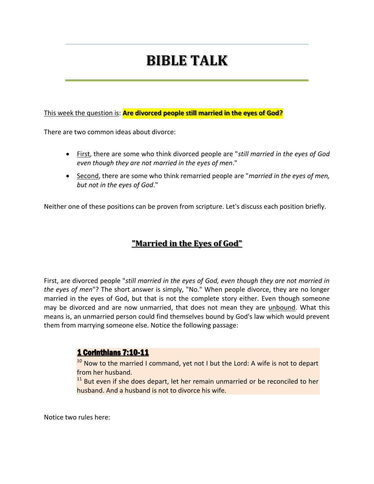# **BIBLE TALK**

This week the question is: **Are divorced people still married in the eyes of God?**

There are two common ideas about divorce:

- First, there are some who think divorced people are "*still married in the eyes of God even though they are not married in the eyes of men*."
- Second, there are some who think remarried people are "*married in the eyes of men, but not in the eyes of God*."

Neither one of these positions can be proven from scripture. Let's discuss each position briefly.

# **"Married in the Eyes of God"**

First, are divorced people "*still married in the eyes of God, even though they are not married in the eyes of men*"? The short answer is simply, "No." When people divorce, they are no longer married in the eyes of God, but that is not the complete story either. Even though someone may be divorced and are now unmarried, that does not mean they are unbound. What this means is, an unmarried person could find themselves bound by God's law which would prevent them from marrying someone else. Notice the following passage:

#### 1 Corinthians 7:10-11

 $10$  Now to the married I command, yet not I but the Lord: A wife is not to depart from her husband.

<sup>11</sup> But even if she does depart, let her remain unmarried or be reconciled to her husband. And a husband is not to divorce his wife.

Notice two rules here: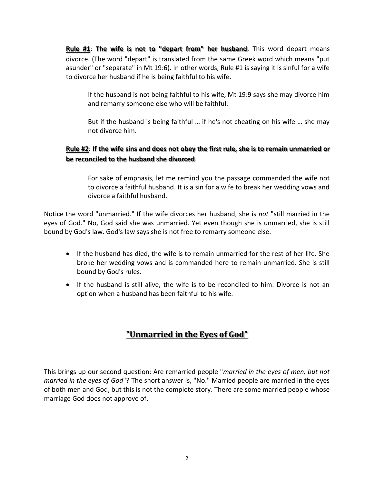**Rule #1**: **The wife is not to "depart from" her husband**. This word depart means divorce. (The word "depart" is translated from the same Greek word which means "put asunder" or "separate" in Mt 19:6). In other words, Rule #1 is saying it is sinful for a wife to divorce her husband if he is being faithful to his wife.

If the husband is not being faithful to his wife, Mt 19:9 says she may divorce him and remarry someone else who will be faithful.

But if the husband is being faithful … if he's not cheating on his wife … she may not divorce him.

#### **Rule #2**: **If the wife sins and does not obey the first rule, she is to remain unmarried or be reconciled to the husband she divorced**.

For sake of emphasis, let me remind you the passage commanded the wife not to divorce a faithful husband. It is a sin for a wife to break her wedding vows and divorce a faithful husband.

Notice the word "unmarried." If the wife divorces her husband, she is *not* "still married in the eyes of God." No, God said she was unmarried. Yet even though she is unmarried, she is still bound by God's law. God's law says she is not free to remarry someone else.

- If the husband has died, the wife is to remain unmarried for the rest of her life. She broke her wedding vows and is commanded here to remain unmarried. She is still bound by God's rules.
- If the husband is still alive, the wife is to be reconciled to him. Divorce is not an option when a husband has been faithful to his wife.

# **"Unmarried in the Eyes of God"**

This brings up our second question: Are remarried people "*married in the eyes of men, but not married in the eyes of God*"? The short answer is, "No." Married people are married in the eyes of both men and God, but this is not the complete story. There are some married people whose marriage God does not approve of.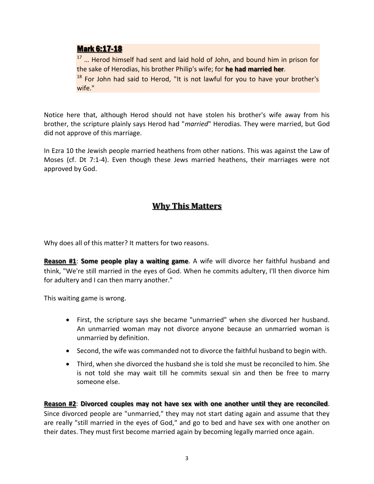#### Mark 6:17-18

<sup>17</sup> ... Herod himself had sent and laid hold of John, and bound him in prison for the sake of Herodias, his brother Philip's wife; for **he had married her**.

<sup>18</sup> For John had said to Herod, "It is not lawful for you to have your brother's wife."

Notice here that, although Herod should not have stolen his brother's wife away from his brother, the scripture plainly says Herod had "*married*" Herodias. They were married, but God did not approve of this marriage.

In Ezra 10 the Jewish people married heathens from other nations. This was against the Law of Moses (cf. Dt 7:1-4). Even though these Jews married heathens, their marriages were not approved by God.

## **Why This Matters**

Why does all of this matter? It matters for two reasons.

**Reason #1**: **Some people play a waiting game**. A wife will divorce her faithful husband and think, "We're still married in the eyes of God. When he commits adultery, I'll then divorce him for adultery and I can then marry another."

This waiting game is wrong.

- First, the scripture says she became "unmarried" when she divorced her husband. An unmarried woman may not divorce anyone because an unmarried woman is unmarried by definition.
- Second, the wife was commanded not to divorce the faithful husband to begin with.
- Third, when she divorced the husband she is told she must be reconciled to him. She is not told she may wait till he commits sexual sin and then be free to marry someone else.

**Reason #2**: **Divorced couples may not have sex with one another until they are reconciled**. Since divorced people are "unmarried," they may not start dating again and assume that they are really "still married in the eyes of God," and go to bed and have sex with one another on their dates. They must first become married again by becoming legally married once again.